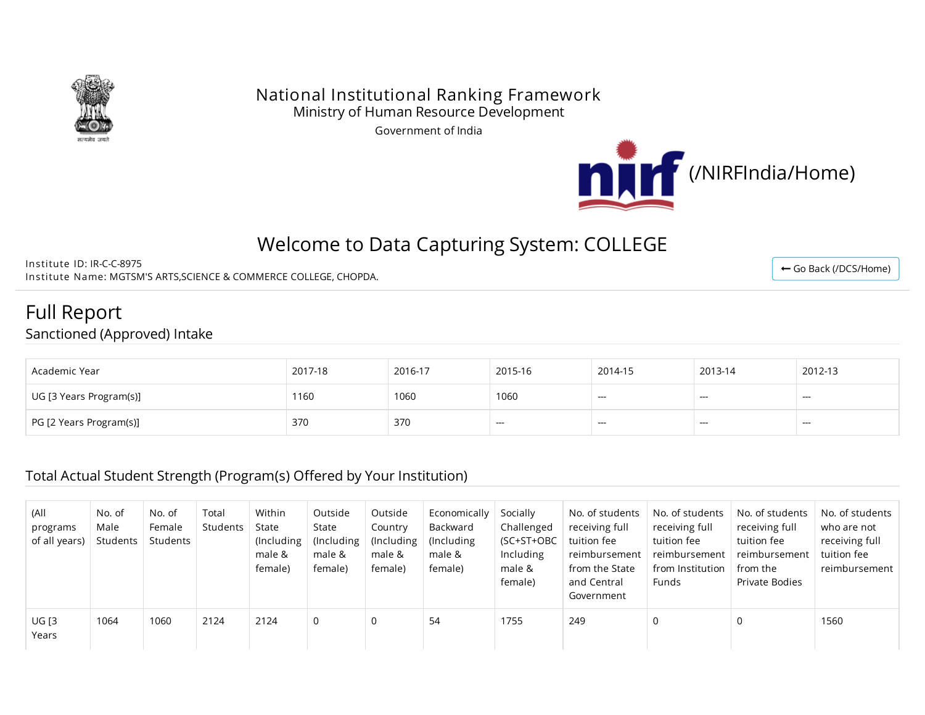

#### National Institutional Ranking Framework Ministry of Human Resource Development

Government of India



# Welcome to Data Capturing System: COLLEGE

Institute ID: IR-C-C-8975 Institute Name: MGTSM'S ARTS,SCIENCE & COMMERCE COLLEGE, CHOPDA.

Full Report

Sanctioned (Approved) Intake

| Academic Year           | 2017-18 | 2016-17 | 2015-16 | 2014-15 | 2013-14 | 2012-13 |
|-------------------------|---------|---------|---------|---------|---------|---------|
| UG [3 Years Program(s)] | 1160    | 1060    | 1060    | $- - -$ | $- - -$ | ---     |
| PG [2 Years Program(s)] | 370     | 370     | ---     | ---     | ---     | ---     |

#### Total Actual Student Strength (Program(s) Offered by Your Institution)

| (All<br>programs<br>of all years) | No. of<br>Male<br>Students | No. of<br>Female<br>Students | Total<br>Students | Within<br>State<br>(Including)<br>male &<br>female) | Outside<br>State<br>(Including)<br>male &<br>female) | Outside<br>Country<br>(Including)<br>male &<br>female) | Economically<br>Backward<br>(Including)<br>male &<br>female) | Socially<br>Challenged<br>(SC+ST+OBC<br>Including<br>male &<br>female) | No. of students<br>receiving full<br>tuition fee<br>reimbursement<br>from the State<br>and Central<br>Government | No. of students<br>receiving full<br>tuition fee<br>reimbursement<br>from Institution<br>Funds | No. of students<br>receiving full<br>tuition fee<br>reimbursement<br>from the<br>Private Bodies | No. of students<br>who are not<br>receiving full<br>tuition fee<br>reimbursement |
|-----------------------------------|----------------------------|------------------------------|-------------------|-----------------------------------------------------|------------------------------------------------------|--------------------------------------------------------|--------------------------------------------------------------|------------------------------------------------------------------------|------------------------------------------------------------------------------------------------------------------|------------------------------------------------------------------------------------------------|-------------------------------------------------------------------------------------------------|----------------------------------------------------------------------------------|
| <b>UG [3</b><br>Years             | 1064                       | 1060                         | 2124              | 2124                                                | $\mathbf{0}$                                         | 0                                                      | -54                                                          | 1755                                                                   | 249                                                                                                              | 0                                                                                              |                                                                                                 | 1560                                                                             |

← Go Back [\(/DCS/Home\)](http://login.nirfindia.org/DCS/Home)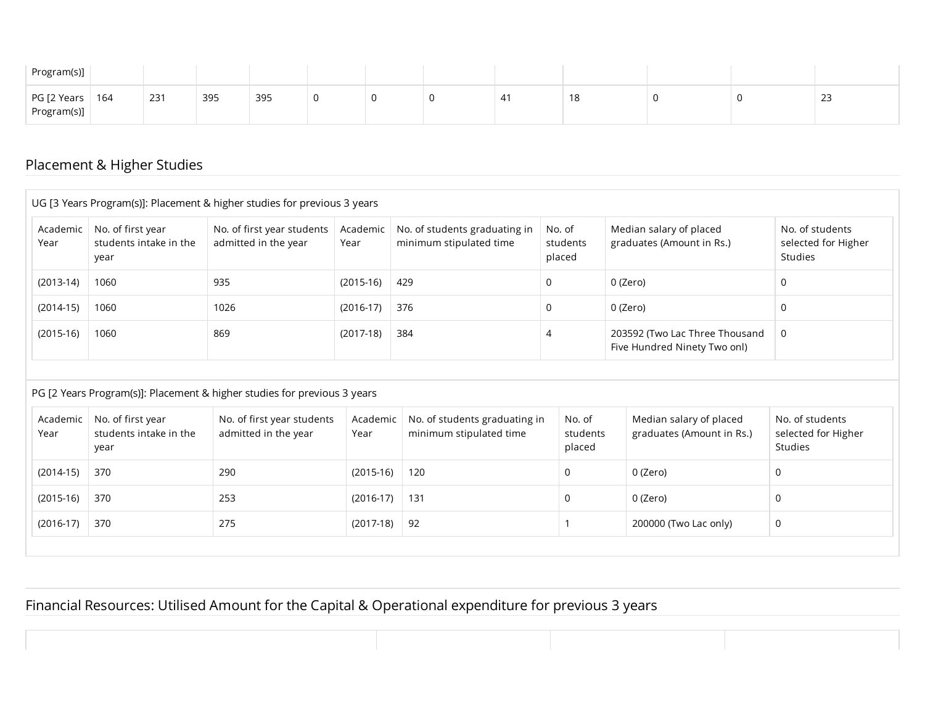| Program(s)]                      |     |     |     |  |    |    |  |              |
|----------------------------------|-----|-----|-----|--|----|----|--|--------------|
| PG [2 Years   164<br>Program(s)] | 231 | 395 | 395 |  | 4, | 10 |  | $\sim$<br>رے |

### Placement & Higher Studies

|                            |                                                                                                           | UG [3 Years Program(s)]: Placement & higher studies for previous 3 years |                  |                                                          |                              |                                                                |                                                   |
|----------------------------|-----------------------------------------------------------------------------------------------------------|--------------------------------------------------------------------------|------------------|----------------------------------------------------------|------------------------------|----------------------------------------------------------------|---------------------------------------------------|
| Academic<br>Year           | No. of first year<br>No. of first year students<br>students intake in the<br>admitted in the year<br>year |                                                                          | Academic<br>Year | No. of students graduating in<br>minimum stipulated time | No. of<br>students<br>placed | Median salary of placed<br>graduates (Amount in Rs.)           | No. of students<br>selected for Higher<br>Studies |
| $(2013-14)$                | 1060                                                                                                      | 935                                                                      | $(2015-16)$      | 429                                                      | 0                            | 0 (Zero)                                                       | 0                                                 |
| $(2014-15)$                | 1060                                                                                                      | 1026                                                                     | $(2016-17)$      | 376                                                      | 0                            | 0 (Zero)                                                       | 0                                                 |
| $(2015-16)$                | 1060                                                                                                      | 869                                                                      | $(2017-18)$      | 384                                                      | 4                            | 203592 (Two Lac Three Thousand<br>Five Hundred Ninety Two onl) | 0                                                 |
|                            |                                                                                                           | PG [2 Years Program(s)]: Placement & higher studies for previous 3 years |                  |                                                          |                              |                                                                |                                                   |
| Academic<br>Year           | No. of first year<br>students intake in the<br>year                                                       | No. of first year students<br>admitted in the year                       | Academic<br>Year | No. of students graduating in<br>minimum stipulated time | No. of<br>students<br>placed | Median salary of placed<br>graduates (Amount in Rs.)           | No. of students<br>selected for Higher<br>Studies |
|                            | 370                                                                                                       | 290                                                                      | $(2015-16)$      | 120                                                      | 0                            | 0 (Zero)                                                       | 0                                                 |
|                            |                                                                                                           |                                                                          |                  |                                                          |                              |                                                                |                                                   |
| $(2014-15)$<br>$(2015-16)$ | 370                                                                                                       | 253                                                                      | $(2016-17)$      | 131                                                      | 0                            | 0 (Zero)                                                       | $\Omega$                                          |

### Financial Resources: Utilised Amount for the Capital & Operational expenditure for previous 3 years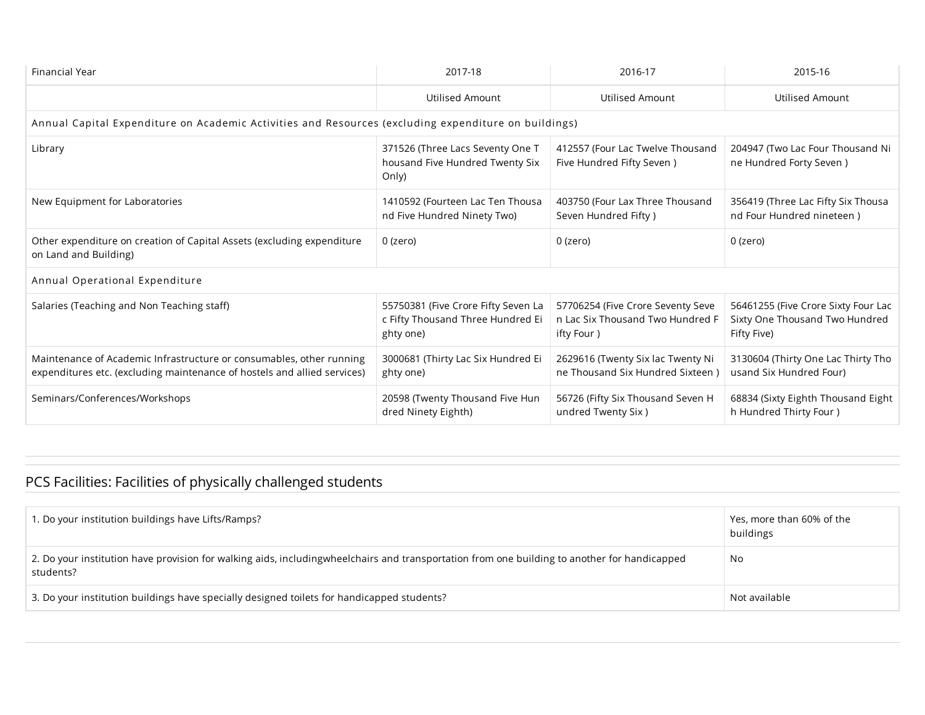| Financial Year                                                                                                                                   | 2017-18                                                                               | 2016-17                                                                             | 2015-16                                                                              |  |  |  |  |  |  |  |  |
|--------------------------------------------------------------------------------------------------------------------------------------------------|---------------------------------------------------------------------------------------|-------------------------------------------------------------------------------------|--------------------------------------------------------------------------------------|--|--|--|--|--|--|--|--|
|                                                                                                                                                  | Utilised Amount                                                                       | Utilised Amount                                                                     | Utilised Amount                                                                      |  |  |  |  |  |  |  |  |
| Annual Capital Expenditure on Academic Activities and Resources (excluding expenditure on buildings)                                             |                                                                                       |                                                                                     |                                                                                      |  |  |  |  |  |  |  |  |
| Library                                                                                                                                          | 371526 (Three Lacs Seventy One T<br>housand Five Hundred Twenty Six<br>Only)          | 412557 (Four Lac Twelve Thousand<br>Five Hundred Fifty Seven)                       | 204947 (Two Lac Four Thousand Ni<br>ne Hundred Forty Seven)                          |  |  |  |  |  |  |  |  |
| New Equipment for Laboratories                                                                                                                   | 1410592 (Fourteen Lac Ten Thousa<br>nd Five Hundred Ninety Two)                       | 403750 (Four Lax Three Thousand<br>Seven Hundred Fifty)                             | 356419 (Three Lac Fifty Six Thousa<br>nd Four Hundred nineteen)                      |  |  |  |  |  |  |  |  |
| Other expenditure on creation of Capital Assets (excluding expenditure<br>on Land and Building)                                                  | 0 (zero)                                                                              | 0 (zero)                                                                            | 0 (zero)                                                                             |  |  |  |  |  |  |  |  |
| Annual Operational Expenditure                                                                                                                   |                                                                                       |                                                                                     |                                                                                      |  |  |  |  |  |  |  |  |
| Salaries (Teaching and Non Teaching staff)                                                                                                       | 55750381 (Five Crore Fifty Seven La<br>c Fifty Thousand Three Hundred Ei<br>ghty one) | 57706254 (Five Crore Seventy Seve<br>n Lac Six Thousand Two Hundred F<br>ifty Four) | 56461255 (Five Crore Sixty Four Lac<br>Sixty One Thousand Two Hundred<br>Fifty Five) |  |  |  |  |  |  |  |  |
| Maintenance of Academic Infrastructure or consumables, other running<br>expenditures etc. (excluding maintenance of hostels and allied services) | 3000681 (Thirty Lac Six Hundred Ei<br>ghty one)                                       | 2629616 (Twenty Six lac Twenty Ni<br>ne Thousand Six Hundred Sixteen)               | 3130604 (Thirty One Lac Thirty Tho<br>usand Six Hundred Four)                        |  |  |  |  |  |  |  |  |
| Seminars/Conferences/Workshops                                                                                                                   | 20598 (Twenty Thousand Five Hun<br>dred Ninety Eighth)                                | 56726 (Fifty Six Thousand Seven H<br>undred Twenty Six)                             | 68834 (Sixty Eighth Thousand Eight<br>h Hundred Thirty Four )                        |  |  |  |  |  |  |  |  |

## PCS Facilities: Facilities of physically challenged students

| 1. Do your institution buildings have Lifts/Ramps?                                                                                                        | Yes, more than 60% of the<br>buildings |
|-----------------------------------------------------------------------------------------------------------------------------------------------------------|----------------------------------------|
| 2. Do your institution have provision for walking aids, includingwheelchairs and transportation from one building to another for handicapped<br>students? | No                                     |
| 3. Do your institution buildings have specially designed toilets for handicapped students?                                                                | Not available                          |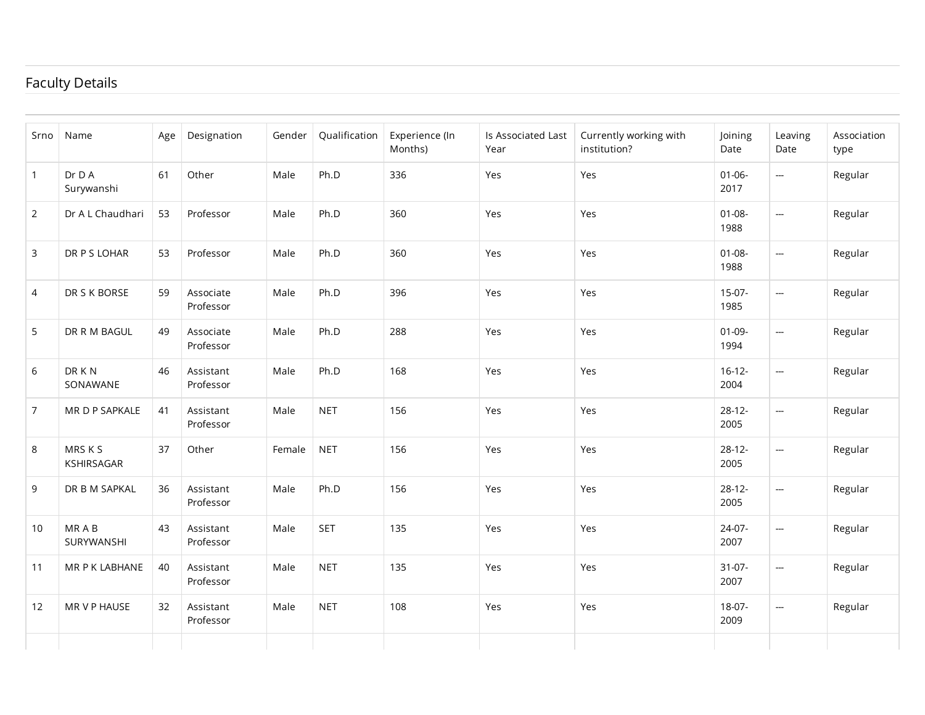### Faculty Details

| Srno            | Name                  | Age | Designation            | Gender | Qualification | Experience (In<br>Months) | Is Associated Last<br>Year | Currently working with<br>institution? | Joining<br>Date     | Leaving<br>Date          | Association<br>type |
|-----------------|-----------------------|-----|------------------------|--------|---------------|---------------------------|----------------------------|----------------------------------------|---------------------|--------------------------|---------------------|
| $\mathbf{1}$    | Dr D A<br>Surywanshi  | 61  | Other                  | Male   | Ph.D          | 336                       | Yes                        | Yes                                    | $01 - 06 -$<br>2017 | $\overline{\phantom{a}}$ | Regular             |
| $\overline{2}$  | Dr A L Chaudhari      | 53  | Professor              | Male   | Ph.D          | 360                       | Yes                        | Yes                                    | $01 - 08 -$<br>1988 | $\overline{\phantom{a}}$ | Regular             |
| 3               | DR P S LOHAR          | 53  | Professor              | Male   | Ph.D          | 360                       | Yes                        | Yes                                    | $01 - 08 -$<br>1988 | $\overline{\phantom{a}}$ | Regular             |
| 4               | DR S K BORSE          | 59  | Associate<br>Professor | Male   | Ph.D          | 396                       | Yes                        | Yes                                    | 15-07-<br>1985      | $\hspace{0.02cm}$        | Regular             |
| 5               | DR R M BAGUL          | 49  | Associate<br>Professor | Male   | Ph.D          | 288                       | Yes                        | Yes                                    | $01-09-$<br>1994    | $\hspace{0.05cm} \ldots$ | Regular             |
| 6               | DR K N<br>SONAWANE    | 46  | Assistant<br>Professor | Male   | Ph.D          | 168                       | Yes                        | Yes                                    | $16-12-$<br>2004    | $\hspace{0.02cm}$        | Regular             |
| $7\overline{ }$ | MR D P SAPKALE        | 41  | Assistant<br>Professor | Male   | <b>NET</b>    | 156                       | Yes                        | Yes                                    | $28-12-$<br>2005    | $\overline{\phantom{a}}$ | Regular             |
| 8               | MRS K S<br>KSHIRSAGAR | 37  | Other                  | Female | <b>NET</b>    | 156                       | Yes                        | Yes                                    | $28-12-$<br>2005    | $\hspace{0.05cm} \ldots$ | Regular             |
| 9               | DR B M SAPKAL         | 36  | Assistant<br>Professor | Male   | Ph.D          | 156                       | Yes                        | Yes                                    | $28-12-$<br>2005    | $\overline{\phantom{a}}$ | Regular             |
| 10              | MR A B<br>SURYWANSHI  | 43  | Assistant<br>Professor | Male   | <b>SET</b>    | 135                       | Yes                        | Yes                                    | 24-07-<br>2007      | $\hspace{0.05cm} \cdots$ | Regular             |
| 11              | MR P K LABHANE        | 40  | Assistant<br>Professor | Male   | <b>NET</b>    | 135                       | Yes                        | Yes                                    | $31 - 07 -$<br>2007 | $\overline{\phantom{a}}$ | Regular             |
| 12              | MR V P HAUSE          | 32  | Assistant<br>Professor | Male   | <b>NET</b>    | 108                       | Yes                        | Yes                                    | 18-07-<br>2009      | $\hspace{0.05cm} \cdots$ | Regular             |
|                 |                       |     |                        |        |               |                           |                            |                                        |                     |                          |                     |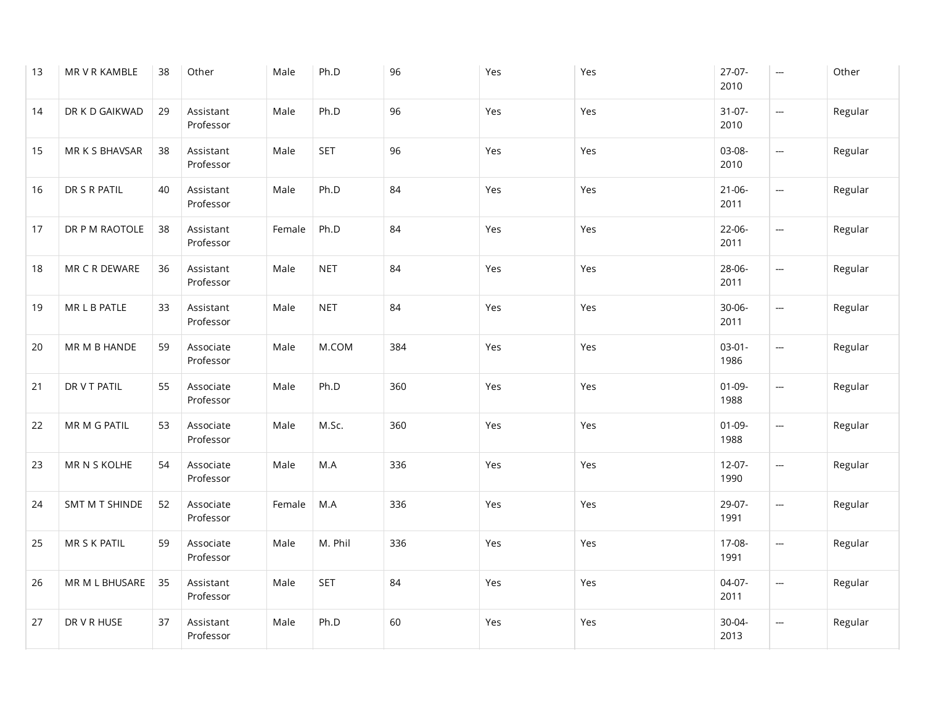| 13 | MR V R KAMBLE  | 38 | Other                  | Male   | Ph.D       | 96  | Yes | Yes | $27-07-$<br>2010    | $\overline{\phantom{a}}$ | Other   |
|----|----------------|----|------------------------|--------|------------|-----|-----|-----|---------------------|--------------------------|---------|
| 14 | DR K D GAIKWAD | 29 | Assistant<br>Professor | Male   | Ph.D       | 96  | Yes | Yes | $31 - 07 -$<br>2010 | $\hspace{0.05cm} \ldots$ | Regular |
| 15 | MR K S BHAVSAR | 38 | Assistant<br>Professor | Male   | <b>SET</b> | 96  | Yes | Yes | 03-08-<br>2010      | $\overline{\phantom{a}}$ | Regular |
| 16 | DR S R PATIL   | 40 | Assistant<br>Professor | Male   | Ph.D       | 84  | Yes | Yes | $21 - 06 -$<br>2011 | $\hspace{0.05cm} \ldots$ | Regular |
| 17 | DR P M RAOTOLE | 38 | Assistant<br>Professor | Female | Ph.D       | 84  | Yes | Yes | 22-06-<br>2011      | $\hspace{0.05cm} \ldots$ | Regular |
| 18 | MR C R DEWARE  | 36 | Assistant<br>Professor | Male   | <b>NET</b> | 84  | Yes | Yes | 28-06-<br>2011      | $\overline{\phantom{a}}$ | Regular |
| 19 | MR L B PATLE   | 33 | Assistant<br>Professor | Male   | <b>NET</b> | 84  | Yes | Yes | $30 - 06 -$<br>2011 | $\hspace{0.05cm} \ldots$ | Regular |
| 20 | MR M B HANDE   | 59 | Associate<br>Professor | Male   | M.COM      | 384 | Yes | Yes | $03-01-$<br>1986    | $\hspace{0.05cm} \ldots$ | Regular |
| 21 | DR V T PATIL   | 55 | Associate<br>Professor | Male   | Ph.D       | 360 | Yes | Yes | $01 - 09 -$<br>1988 | $\hspace{0.05cm} \ldots$ | Regular |
| 22 | MR M G PATIL   | 53 | Associate<br>Professor | Male   | M.Sc.      | 360 | Yes | Yes | $01-09-$<br>1988    | $\hspace{0.05cm} \ldots$ | Regular |
| 23 | MR N S KOLHE   | 54 | Associate<br>Professor | Male   | M.A        | 336 | Yes | Yes | $12 - 07 -$<br>1990 | $\hspace{0.05cm} \ldots$ | Regular |
| 24 | SMT M T SHINDE | 52 | Associate<br>Professor | Female | M.A        | 336 | Yes | Yes | 29-07-<br>1991      | ---                      | Regular |
| 25 | MR S K PATIL   | 59 | Associate<br>Professor | Male   | M. Phil    | 336 | Yes | Yes | 17-08-<br>1991      | $\hspace{0.05cm} \cdots$ | Regular |
| 26 | MR M L BHUSARE | 35 | Assistant<br>Professor | Male   | <b>SET</b> | 84  | Yes | Yes | $04-07-$<br>2011    | $\hspace{0.05cm} \ldots$ | Regular |
| 27 | DR V R HUSE    | 37 | Assistant<br>Professor | Male   | Ph.D       | 60  | Yes | Yes | 30-04-<br>2013      | ---                      | Regular |